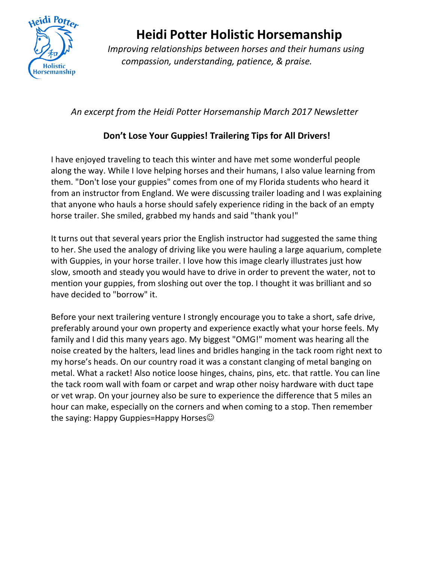

## **Heidi Potter Holistic Horsemanship** *Improving relationships between horses and their humans using*

*compassion, understanding, patience, & praise.*

## *An excerpt from the Heidi Potter Horsemanship March 2017 Newsletter*

## **Don't Lose Your Guppies! Trailering Tips for All Drivers!**

I have enjoyed traveling to teach this winter and have met some wonderful people along the way. While I love helping horses and their humans, I also value learning from them. "Don't lose your guppies" comes from one of my Florida students who heard it from an instructor from England. We were discussing trailer loading and I was explaining that anyone who hauls a horse should safely experience riding in the back of an empty horse trailer. She smiled, grabbed my hands and said "thank you!"

It turns out that several years prior the English instructor had suggested the same thing to her. She used the analogy of driving like you were hauling a large aquarium, complete with Guppies, in your horse trailer. I love how this image clearly illustrates just how slow, smooth and steady you would have to drive in order to prevent the water, not to mention your guppies, from sloshing out over the top. I thought it was brilliant and so have decided to "borrow" it.

Before your next trailering venture I strongly encourage you to take a short, safe drive, preferably around your own property and experience exactly what your horse feels. My family and I did this many years ago. My biggest "OMG!" moment was hearing all the noise created by the halters, lead lines and bridles hanging in the tack room right next to my horse's heads. On our country road it was a constant clanging of metal banging on metal. What a racket! Also notice loose hinges, chains, pins, etc. that rattle. You can line the tack room wall with foam or carpet and wrap other noisy hardware with duct tape or vet wrap. On your journey also be sure to experience the difference that 5 miles an hour can make, especially on the corners and when coming to a stop. Then remember the saying: Happy Guppies=Happy Horses